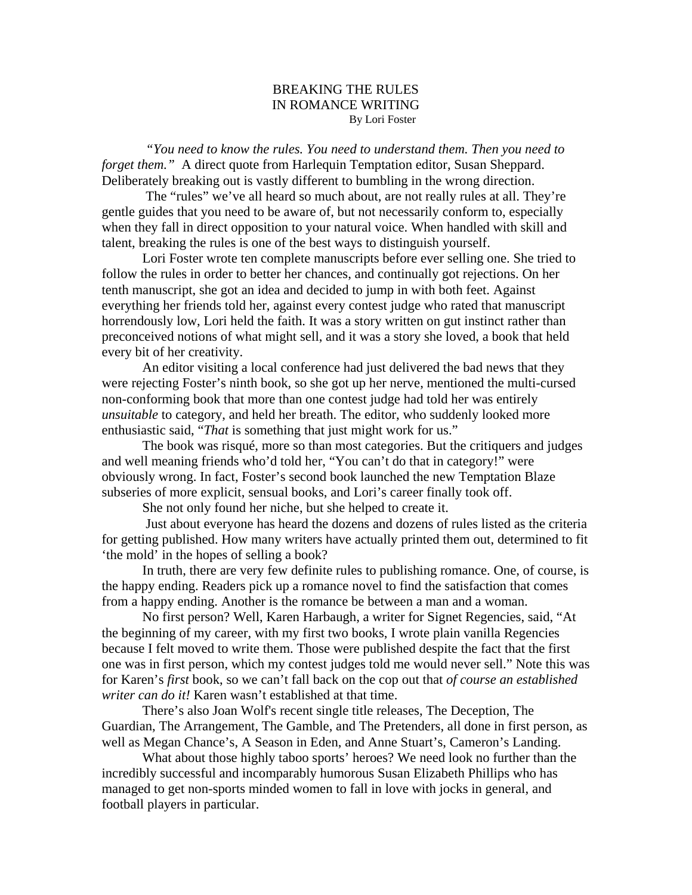## BREAKING THE RULES IN ROMANCE WRITING By Lori Foster

*"You need to know the rules. You need to understand them. Then you need to forget them.*" A direct quote from Harlequin Temptation editor, Susan Sheppard. Deliberately breaking out is vastly different to bumbling in the wrong direction.

 The "rules" we've all heard so much about, are not really rules at all. They're gentle guides that you need to be aware of, but not necessarily conform to, especially when they fall in direct opposition to your natural voice. When handled with skill and talent, breaking the rules is one of the best ways to distinguish yourself.

Lori Foster wrote ten complete manuscripts before ever selling one. She tried to follow the rules in order to better her chances, and continually got rejections. On her tenth manuscript, she got an idea and decided to jump in with both feet. Against everything her friends told her, against every contest judge who rated that manuscript horrendously low, Lori held the faith. It was a story written on gut instinct rather than preconceived notions of what might sell, and it was a story she loved, a book that held every bit of her creativity.

An editor visiting a local conference had just delivered the bad news that they were rejecting Foster's ninth book, so she got up her nerve, mentioned the multi-cursed non-conforming book that more than one contest judge had told her was entirely *unsuitable* to category, and held her breath. The editor, who suddenly looked more enthusiastic said, "*That* is something that just might work for us."

The book was risqué, more so than most categories. But the critiquers and judges and well meaning friends who'd told her, "You can't do that in category!" were obviously wrong. In fact, Foster's second book launched the new Temptation Blaze subseries of more explicit, sensual books, and Lori's career finally took off.

She not only found her niche, but she helped to create it.

 Just about everyone has heard the dozens and dozens of rules listed as the criteria for getting published. How many writers have actually printed them out, determined to fit 'the mold' in the hopes of selling a book?

In truth, there are very few definite rules to publishing romance. One, of course, is the happy ending. Readers pick up a romance novel to find the satisfaction that comes from a happy ending. Another is the romance be between a man and a woman.

No first person? Well, Karen Harbaugh, a writer for Signet Regencies, said, "At the beginning of my career, with my first two books, I wrote plain vanilla Regencies because I felt moved to write them. Those were published despite the fact that the first one was in first person, which my contest judges told me would never sell." Note this was for Karen's *first* book, so we can't fall back on the cop out that *of course an established writer can do it!* Karen wasn't established at that time.

There's also Joan Wolf's recent single title releases, The Deception, The Guardian, The Arrangement, The Gamble, and The Pretenders, all done in first person, as well as Megan Chance's, A Season in Eden, and Anne Stuart's, Cameron's Landing.

What about those highly taboo sports' heroes? We need look no further than the incredibly successful and incomparably humorous Susan Elizabeth Phillips who has managed to get non-sports minded women to fall in love with jocks in general, and football players in particular.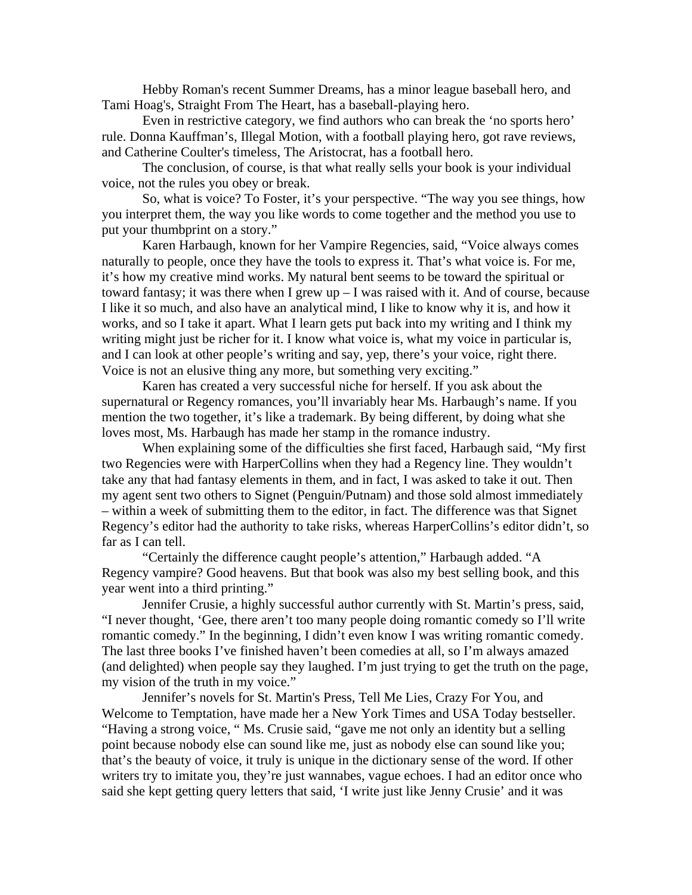Hebby Roman's recent Summer Dreams, has a minor league baseball hero, and Tami Hoag's, Straight From The Heart, has a baseball-playing hero.

Even in restrictive category, we find authors who can break the 'no sports hero' rule. Donna Kauffman's, Illegal Motion, with a football playing hero, got rave reviews, and Catherine Coulter's timeless, The Aristocrat, has a football hero.

The conclusion, of course, is that what really sells your book is your individual voice, not the rules you obey or break.

So, what is voice? To Foster, it's your perspective. "The way you see things, how you interpret them, the way you like words to come together and the method you use to put your thumbprint on a story."

Karen Harbaugh, known for her Vampire Regencies, said, "Voice always comes naturally to people, once they have the tools to express it. That's what voice is. For me, it's how my creative mind works. My natural bent seems to be toward the spiritual or toward fantasy; it was there when I grew up – I was raised with it. And of course, because I like it so much, and also have an analytical mind, I like to know why it is, and how it works, and so I take it apart. What I learn gets put back into my writing and I think my writing might just be richer for it. I know what voice is, what my voice in particular is, and I can look at other people's writing and say, yep, there's your voice, right there. Voice is not an elusive thing any more, but something very exciting."

Karen has created a very successful niche for herself. If you ask about the supernatural or Regency romances, you'll invariably hear Ms. Harbaugh's name. If you mention the two together, it's like a trademark. By being different, by doing what she loves most, Ms. Harbaugh has made her stamp in the romance industry.

When explaining some of the difficulties she first faced, Harbaugh said, "My first two Regencies were with HarperCollins when they had a Regency line. They wouldn't take any that had fantasy elements in them, and in fact, I was asked to take it out. Then my agent sent two others to Signet (Penguin/Putnam) and those sold almost immediately – within a week of submitting them to the editor, in fact. The difference was that Signet Regency's editor had the authority to take risks, whereas HarperCollins's editor didn't, so far as I can tell.

"Certainly the difference caught people's attention," Harbaugh added. "A Regency vampire? Good heavens. But that book was also my best selling book, and this year went into a third printing."

Jennifer Crusie, a highly successful author currently with St. Martin's press, said, "I never thought, 'Gee, there aren't too many people doing romantic comedy so I'll write romantic comedy." In the beginning, I didn't even know I was writing romantic comedy. The last three books I've finished haven't been comedies at all, so I'm always amazed (and delighted) when people say they laughed. I'm just trying to get the truth on the page, my vision of the truth in my voice."

Jennifer's novels for St. Martin's Press, Tell Me Lies, Crazy For You, and Welcome to Temptation, have made her a New York Times and USA Today bestseller. "Having a strong voice, " Ms. Crusie said, "gave me not only an identity but a selling point because nobody else can sound like me, just as nobody else can sound like you; that's the beauty of voice, it truly is unique in the dictionary sense of the word. If other writers try to imitate you, they're just wannabes, vague echoes. I had an editor once who said she kept getting query letters that said, 'I write just like Jenny Crusie' and it was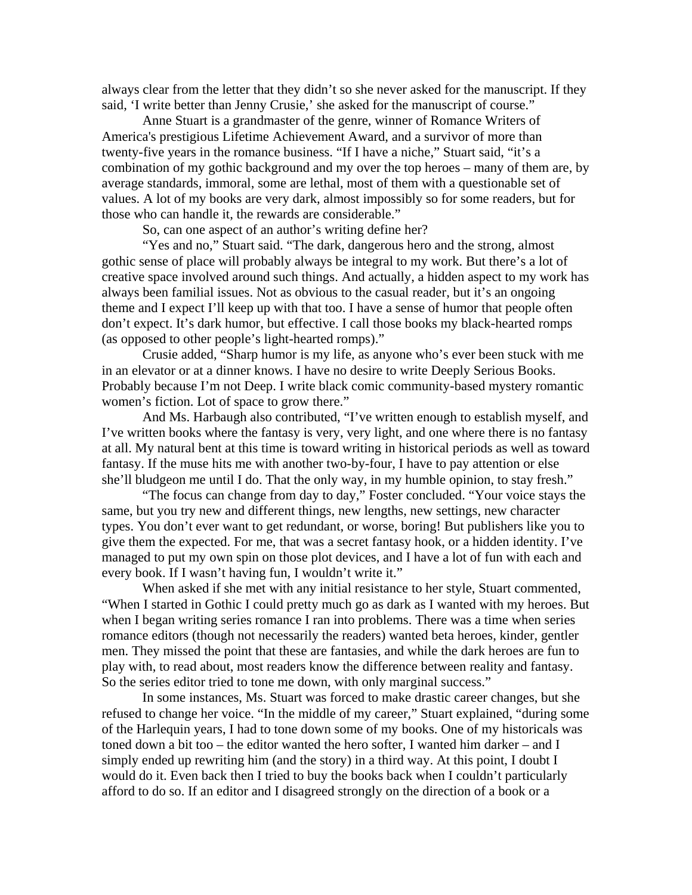always clear from the letter that they didn't so she never asked for the manuscript. If they said, 'I write better than Jenny Crusie,' she asked for the manuscript of course."

Anne Stuart is a grandmaster of the genre, winner of Romance Writers of America's prestigious Lifetime Achievement Award, and a survivor of more than twenty-five years in the romance business. "If I have a niche," Stuart said, "it's a combination of my gothic background and my over the top heroes – many of them are, by average standards, immoral, some are lethal, most of them with a questionable set of values. A lot of my books are very dark, almost impossibly so for some readers, but for those who can handle it, the rewards are considerable."

So, can one aspect of an author's writing define her?

"Yes and no," Stuart said. "The dark, dangerous hero and the strong, almost gothic sense of place will probably always be integral to my work. But there's a lot of creative space involved around such things. And actually, a hidden aspect to my work has always been familial issues. Not as obvious to the casual reader, but it's an ongoing theme and I expect I'll keep up with that too. I have a sense of humor that people often don't expect. It's dark humor, but effective. I call those books my black-hearted romps (as opposed to other people's light-hearted romps)."

Crusie added, "Sharp humor is my life, as anyone who's ever been stuck with me in an elevator or at a dinner knows. I have no desire to write Deeply Serious Books. Probably because I'm not Deep. I write black comic community-based mystery romantic women's fiction. Lot of space to grow there."

And Ms. Harbaugh also contributed, "I've written enough to establish myself, and I've written books where the fantasy is very, very light, and one where there is no fantasy at all. My natural bent at this time is toward writing in historical periods as well as toward fantasy. If the muse hits me with another two-by-four, I have to pay attention or else she'll bludgeon me until I do. That the only way, in my humble opinion, to stay fresh."

"The focus can change from day to day," Foster concluded. "Your voice stays the same, but you try new and different things, new lengths, new settings, new character types. You don't ever want to get redundant, or worse, boring! But publishers like you to give them the expected. For me, that was a secret fantasy hook, or a hidden identity. I've managed to put my own spin on those plot devices, and I have a lot of fun with each and every book. If I wasn't having fun, I wouldn't write it."

When asked if she met with any initial resistance to her style, Stuart commented, "When I started in Gothic I could pretty much go as dark as I wanted with my heroes. But when I began writing series romance I ran into problems. There was a time when series romance editors (though not necessarily the readers) wanted beta heroes, kinder, gentler men. They missed the point that these are fantasies, and while the dark heroes are fun to play with, to read about, most readers know the difference between reality and fantasy. So the series editor tried to tone me down, with only marginal success."

In some instances, Ms. Stuart was forced to make drastic career changes, but she refused to change her voice. "In the middle of my career," Stuart explained, "during some of the Harlequin years, I had to tone down some of my books. One of my historicals was toned down a bit too – the editor wanted the hero softer, I wanted him darker – and I simply ended up rewriting him (and the story) in a third way. At this point, I doubt I would do it. Even back then I tried to buy the books back when I couldn't particularly afford to do so. If an editor and I disagreed strongly on the direction of a book or a